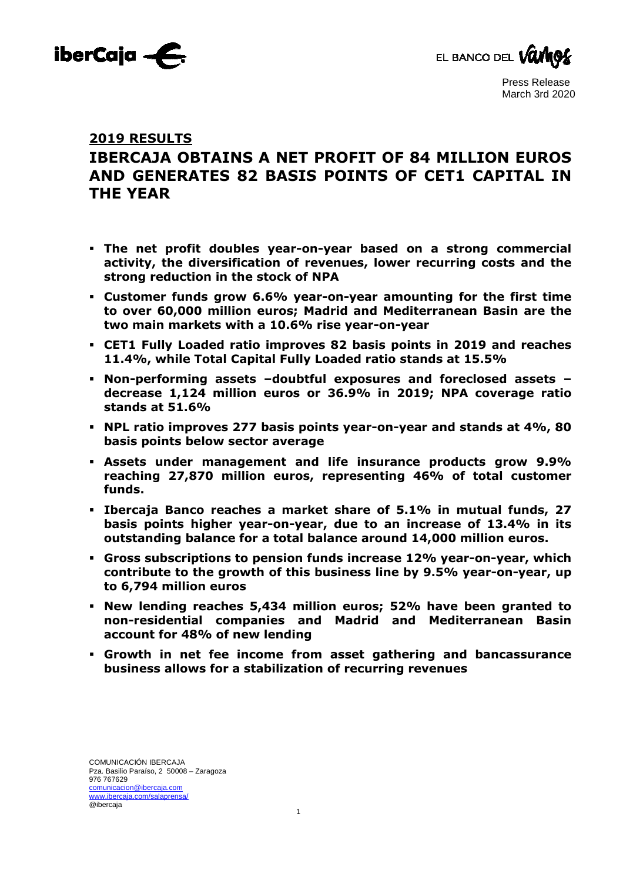



# **2019 RESULTS**

# **IBERCAJA OBTAINS A NET PROFIT OF 84 MILLION EUROS AND GENERATES 82 BASIS POINTS OF CET1 CAPITAL IN THE YEAR**

- **The net profit doubles year-on-year based on a strong commercial activity, the diversification of revenues, lower recurring costs and the strong reduction in the stock of NPA**
- **Customer funds grow 6.6% year-on-year amounting for the first time to over 60,000 million euros; Madrid and Mediterranean Basin are the two main markets with a 10.6% rise year-on-year**
- **CET1 Fully Loaded ratio improves 82 basis points in 2019 and reaches 11.4%, while Total Capital Fully Loaded ratio stands at 15.5%**
- **Non-performing assets –doubtful exposures and foreclosed assets decrease 1,124 million euros or 36.9% in 2019; NPA coverage ratio stands at 51.6%**
- **NPL ratio improves 277 basis points year-on-year and stands at 4%, 80 basis points below sector average**
- **Assets under management and life insurance products grow 9.9% reaching 27,870 million euros, representing 46% of total customer funds.**
- **Ibercaja Banco reaches a market share of 5.1% in mutual funds, 27 basis points higher year-on-year, due to an increase of 13.4% in its outstanding balance for a total balance around 14,000 million euros.**
- **Gross subscriptions to pension funds increase 12% year-on-year, which contribute to the growth of this business line by 9.5% year-on-year, up to 6,794 million euros**
- **New lending reaches 5,434 million euros; 52% have been granted to non-residential companies and Madrid and Mediterranean Basin account for 48% of new lending**
- **Growth in net fee income from asset gathering and bancassurance business allows for a stabilization of recurring revenues**

1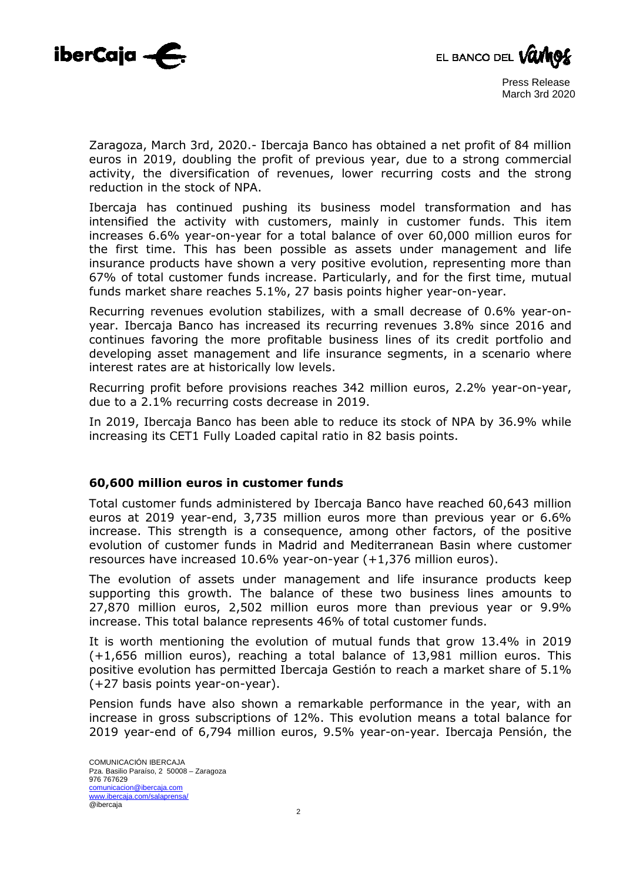



Zaragoza, March 3rd, 2020.- Ibercaja Banco has obtained a net profit of 84 million euros in 2019, doubling the profit of previous year, due to a strong commercial activity, the diversification of revenues, lower recurring costs and the strong reduction in the stock of NPA.

Ibercaja has continued pushing its business model transformation and has intensified the activity with customers, mainly in customer funds. This item increases 6.6% year-on-year for a total balance of over 60,000 million euros for the first time. This has been possible as assets under management and life insurance products have shown a very positive evolution, representing more than 67% of total customer funds increase. Particularly, and for the first time, mutual funds market share reaches 5.1%, 27 basis points higher year-on-year.

Recurring revenues evolution stabilizes, with a small decrease of 0.6% year-onyear. Ibercaja Banco has increased its recurring revenues 3.8% since 2016 and continues favoring the more profitable business lines of its credit portfolio and developing asset management and life insurance segments, in a scenario where interest rates are at historically low levels.

Recurring profit before provisions reaches 342 million euros, 2.2% year-on-year, due to a 2.1% recurring costs decrease in 2019.

In 2019, Ibercaja Banco has been able to reduce its stock of NPA by 36.9% while increasing its CET1 Fully Loaded capital ratio in 82 basis points.

## **60,600 million euros in customer funds**

Total customer funds administered by Ibercaja Banco have reached 60,643 million euros at 2019 year-end, 3,735 million euros more than previous year or 6.6% increase. This strength is a consequence, among other factors, of the positive evolution of customer funds in Madrid and Mediterranean Basin where customer resources have increased 10.6% year-on-year (+1,376 million euros).

The evolution of assets under management and life insurance products keep supporting this growth. The balance of these two business lines amounts to 27,870 million euros, 2,502 million euros more than previous year or 9.9% increase. This total balance represents 46% of total customer funds.

It is worth mentioning the evolution of mutual funds that grow 13.4% in 2019 (+1,656 million euros), reaching a total balance of 13,981 million euros. This positive evolution has permitted Ibercaja Gestión to reach a market share of 5.1% (+27 basis points year-on-year).

Pension funds have also shown a remarkable performance in the year, with an increase in gross subscriptions of 12%. This evolution means a total balance for 2019 year-end of 6,794 million euros, 9.5% year-on-year. Ibercaja Pensión, the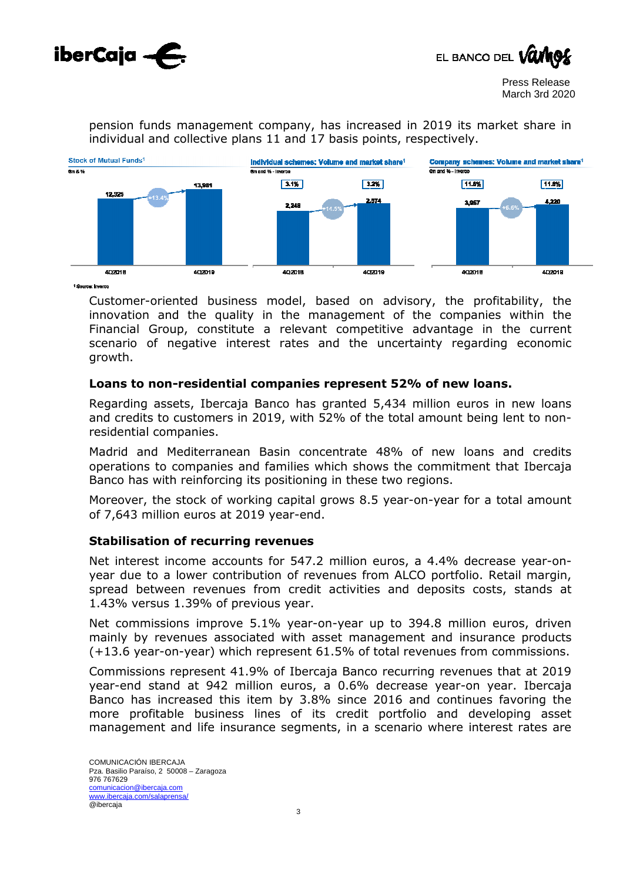



pension funds management company, has increased in 2019 its market share in individual and collective plans 11 and 17 basis points, respectively.



<sup>1</sup> Source: Inverce

Customer-oriented business model, based on advisory, the profitability, the innovation and the quality in the management of the companies within the Financial Group, constitute a relevant competitive advantage in the current scenario of negative interest rates and the uncertainty regarding economic growth.

### **Loans to non-residential companies represent 52% of new loans.**

Regarding assets, Ibercaja Banco has granted 5,434 million euros in new loans and credits to customers in 2019, with 52% of the total amount being lent to nonresidential companies.

Madrid and Mediterranean Basin concentrate 48% of new loans and credits operations to companies and families which shows the commitment that Ibercaja Banco has with reinforcing its positioning in these two regions.

Moreover, the stock of working capital grows 8.5 year-on-year for a total amount of 7,643 million euros at 2019 year-end.

#### **Stabilisation of recurring revenues**

Net interest income accounts for 547.2 million euros, a 4.4% decrease year-onyear due to a lower contribution of revenues from ALCO portfolio. Retail margin, spread between revenues from credit activities and deposits costs, stands at 1.43% versus 1.39% of previous year.

Net commissions improve 5.1% year-on-year up to 394.8 million euros, driven mainly by revenues associated with asset management and insurance products (+13.6 year-on-year) which represent 61.5% of total revenues from commissions.

Commissions represent 41.9% of Ibercaja Banco recurring revenues that at 2019 year-end stand at 942 million euros, a 0.6% decrease year-on year. Ibercaja Banco has increased this item by 3.8% since 2016 and continues favoring the more profitable business lines of its credit portfolio and developing asset management and life insurance segments, in a scenario where interest rates are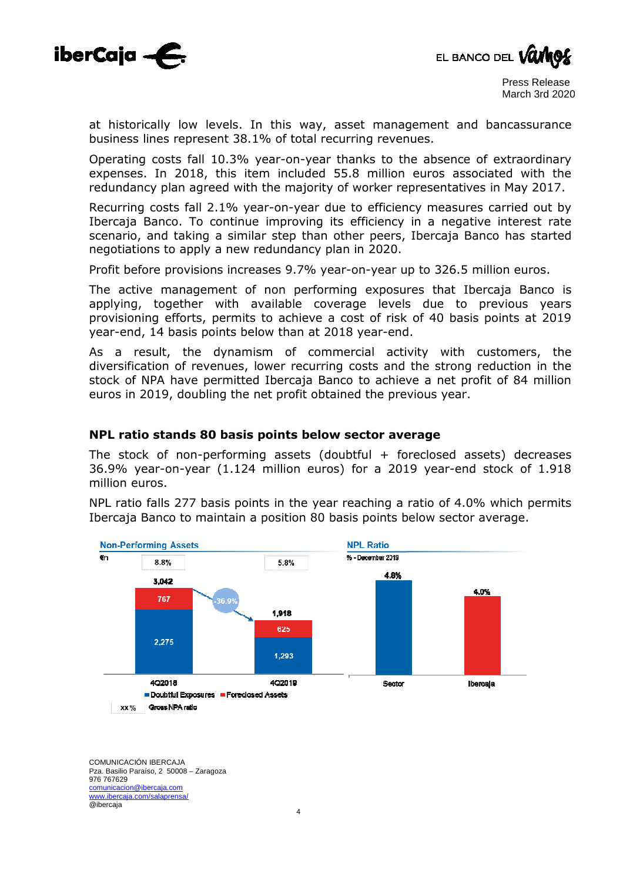



at historically low levels. In this way, asset management and bancassurance business lines represent 38.1% of total recurring revenues.

Operating costs fall 10.3% year-on-year thanks to the absence of extraordinary expenses. In 2018, this item included 55.8 million euros associated with the redundancy plan agreed with the majority of worker representatives in May 2017.

Recurring costs fall 2.1% year-on-year due to efficiency measures carried out by Ibercaja Banco. To continue improving its efficiency in a negative interest rate scenario, and taking a similar step than other peers, Ibercaja Banco has started negotiations to apply a new redundancy plan in 2020.

Profit before provisions increases 9.7% year-on-year up to 326.5 million euros.

The active management of non performing exposures that Ibercaja Banco is applying, together with available coverage levels due to previous years provisioning efforts, permits to achieve a cost of risk of 40 basis points at 2019 year-end, 14 basis points below than at 2018 year-end.

As a result, the dynamism of commercial activity with customers, the diversification of revenues, lower recurring costs and the strong reduction in the stock of NPA have permitted Ibercaja Banco to achieve a net profit of 84 million euros in 2019, doubling the net profit obtained the previous year.

#### **NPL ratio stands 80 basis points below sector average**

The stock of non-performing assets (doubtful + foreclosed assets) decreases 36.9% year-on-year (1.124 million euros) for a 2019 year-end stock of 1.918 million euros.

NPL ratio falls 277 basis points in the year reaching a ratio of 4.0% which permits Ibercaja Banco to maintain a position 80 basis points below sector average.

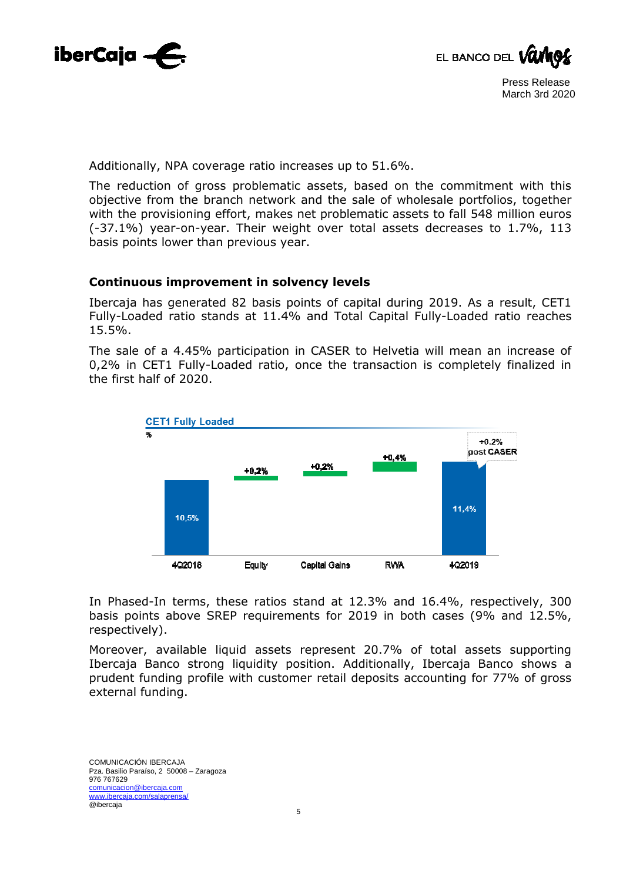



Additionally, NPA coverage ratio increases up to 51.6%.

The reduction of gross problematic assets, based on the commitment with this objective from the branch network and the sale of wholesale portfolios, together with the provisioning effort, makes net problematic assets to fall 548 million euros (-37.1%) year-on-year. Their weight over total assets decreases to 1.7%, 113 basis points lower than previous year.

#### **Continuous improvement in solvency levels**

Ibercaja has generated 82 basis points of capital during 2019. As a result, CET1 Fully-Loaded ratio stands at 11.4% and Total Capital Fully-Loaded ratio reaches 15.5%.

The sale of a 4.45% participation in CASER to Helvetia will mean an increase of 0,2% in CET1 Fully-Loaded ratio, once the transaction is completely finalized in the first half of 2020.



In Phased-In terms, these ratios stand at 12.3% and 16.4%, respectively, 300 basis points above SREP requirements for 2019 in both cases (9% and 12.5%, respectively).

Moreover, available liquid assets represent 20.7% of total assets supporting Ibercaja Banco strong liquidity position. Additionally, Ibercaja Banco shows a prudent funding profile with customer retail deposits accounting for 77% of gross external funding.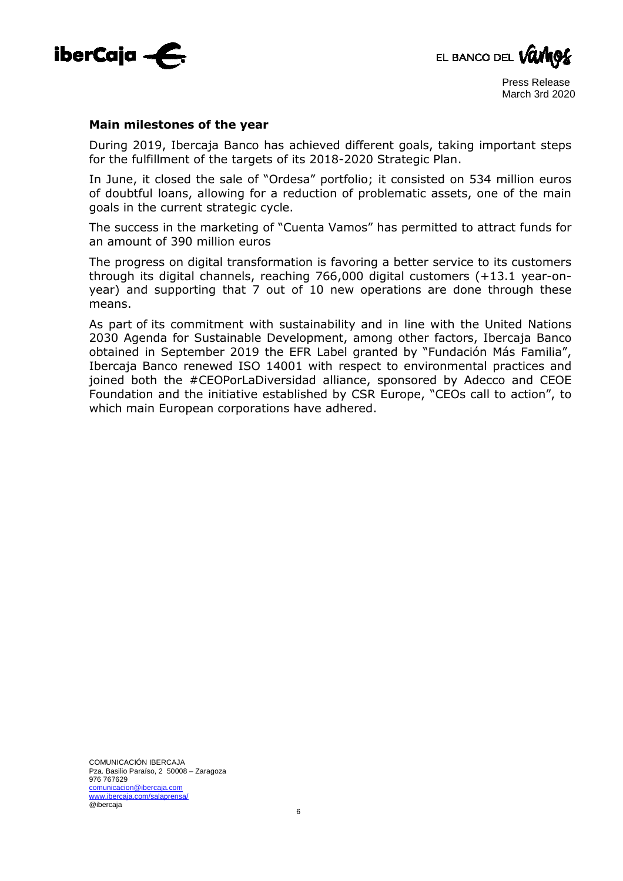



#### **Main milestones of the year**

During 2019, Ibercaja Banco has achieved different goals, taking important steps for the fulfillment of the targets of its 2018-2020 Strategic Plan.

In June, it closed the sale of "Ordesa" portfolio; it consisted on 534 million euros of doubtful loans, allowing for a reduction of problematic assets, one of the main goals in the current strategic cycle.

The success in the marketing of "Cuenta Vamos" has permitted to attract funds for an amount of 390 million euros

The progress on digital transformation is favoring a better service to its customers through its digital channels, reaching 766,000 digital customers (+13.1 year-onyear) and supporting that 7 out of 10 new operations are done through these means.

As part of its commitment with sustainability and in line with the United Nations 2030 Agenda for Sustainable Development, among other factors, Ibercaja Banco obtained in September 2019 the EFR Label granted by "Fundación Más Familia", Ibercaja Banco renewed ISO 14001 with respect to environmental practices and joined both the #CEOPorLaDiversidad alliance, sponsored by Adecco and CEOE Foundation and the initiative established by CSR Europe, "CEOs call to action", to which main European corporations have adhered.